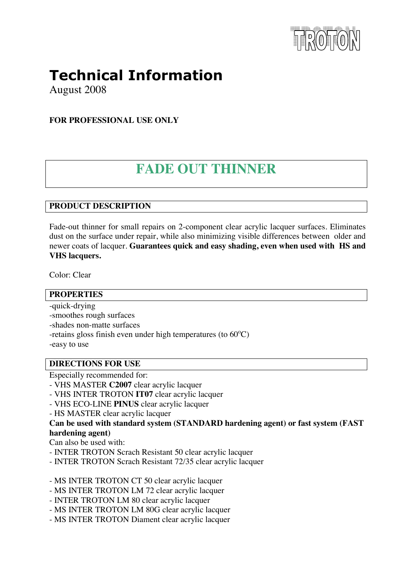

# **Technical Information**

August 2008

**FOR PROFESSIONAL USE ONLY** 

# **FADE OUT THINNER**

## **PRODUCT DESCRIPTION**

Fade-out thinner for small repairs on 2-component clear acrylic lacquer surfaces. Eliminates dust on the surface under repair, while also minimizing visible differences between older and newer coats of lacquer. **Guarantees quick and easy shading, even when used with HS and VHS lacquers.** 

Color: Clear

| <b>PROPERTIES</b>                                                                                                                                                 |
|-------------------------------------------------------------------------------------------------------------------------------------------------------------------|
| -quick-drying<br>-smoothes rough surfaces<br>-shades non-matte surfaces<br>-retains gloss finish even under high temperatures (to $60^{\circ}$ C)<br>-easy to use |
| <b>DIRECTIONS FOR USE</b>                                                                                                                                         |
| Especially recommended for:                                                                                                                                       |

- VHS MASTER **C2007** clear acrylic lacquer
- VHS INTER TROTON **IT07** clear acrylic lacquer
- VHS ECO-LINE **PINUS** clear acrylic lacquer
- HS MASTER clear acrylic lacquer

**Can be used with standard system (STANDARD hardening agent) or fast system (FAST hardening agent)** 

Can also be used with:

- INTER TROTON Scrach Resistant 50 clear acrylic lacquer
- INTER TROTON Scrach Resistant 72/35 clear acrylic lacquer
- MS INTER TROTON CT 50 clear acrylic lacquer
- MS INTER TROTON LM 72 clear acrylic lacquer
- INTER TROTON LM 80 clear acrylic lacquer
- MS INTER TROTON LM 80G clear acrylic lacquer
- MS INTER TROTON Diament clear acrylic lacquer